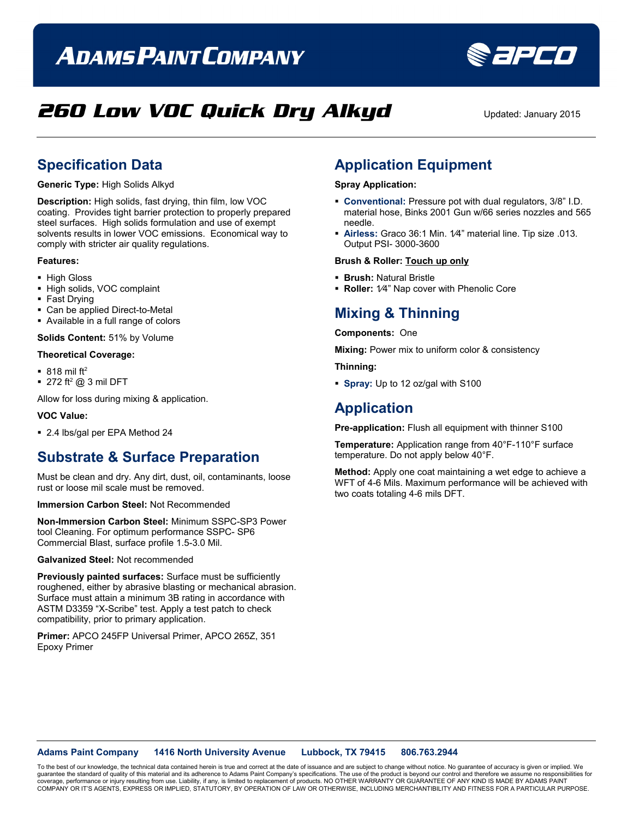# **ADAMS PAINT COMPANY**



## **260 Low VOC Quick Dry Alkyd** Updated: January 2015

### **Specification Data**

**Generic Type:** High Solids Alkyd

**Description:** High solids, fast drying, thin film, low VOC coating. Provides tight barrier protection to properly prepared steel surfaces. High solids formulation and use of exempt solvents results in lower VOC emissions. Economical way to comply with stricter air quality regulations.

#### **Features:**

- **High Gloss**
- High solids, VOC complaint
- Fast Drying
- Can be applied Direct-to-Metal
- Available in a full range of colors

**Solids Content:** 51% by Volume

#### **Theoretical Coverage:**

- $\blacksquare$  818 mil ft<sup>2</sup>
- $\blacksquare$  272 ft<sup>2</sup> @ 3 mil DFT

Allow for loss during mixing & application.

#### **VOC Value:**

■ 2.4 lbs/gal per EPA Method 24

### **Substrate & Surface Preparation**

Must be clean and dry. Any dirt, dust, oil, contaminants, loose rust or loose mil scale must be removed.

#### **Immersion Carbon Steel:** Not Recommended

**Non-Immersion Carbon Steel:** Minimum SSPC-SP3 Power tool Cleaning. For optimum performance SSPC- SP6 Commercial Blast, surface profile 1.5-3.0 Mil.

#### **Galvanized Steel:** Not recommended

**Previously painted surfaces:** Surface must be sufficiently roughened, either by abrasive blasting or mechanical abrasion. Surface must attain a minimum 3B rating in accordance with ASTM D3359 "X-Scribe" test. Apply a test patch to check compatibility, prior to primary application.

#### **Primer:** APCO 245FP Universal Primer, APCO 265Z, 351 Epoxy Primer

### **Application Equipment**

#### **Spray Application:**

- **Conventional:** Pressure pot with dual regulators, 3/8" I.D. material hose, Binks 2001 Gun w/66 series nozzles and 565 needle.
- **Airless:** Graco 36:1 Min. 1⁄4" material line. Tip size .013. Output PSI- 3000-3600

#### **Brush & Roller: Touch up only**

- **Brush:** Natural Bristle
- **Roller:** 1⁄4" Nap cover with Phenolic Core

### **Mixing & Thinning**

#### **Components:** One

**Mixing:** Power mix to uniform color & consistency

**Thinning:**

**Spray:** Up to 12 oz/gal with S100

### **Application**

**Pre-application:** Flush all equipment with thinner S100

**Temperature:** Application range from 40°F-110°F surface temperature. Do not apply below 40°F.

**Method:** Apply one coat maintaining a wet edge to achieve a WFT of 4-6 Mils. Maximum performance will be achieved with two coats totaling 4-6 mils DFT.

#### **Adams Paint Company 1416 North University Avenue Lubbock, TX 79415 806.763.2944**

To the best of our knowledge, the technical data contained herein is true and correct at the date of issuance and are subject to change without notice. No guarantee of accuracy is given or implied. We guarantee the standard of quality of this material and its adherence to Adams Paint Company's specifications. The use of the product is beyond our control and therefore we assume no responsibilities for coverage, performance or injury resulting from use. Liability, if any, is limited to replacement of products. NO OTHER WARRANTY OR GUARANTEE OF ANY KIND IS MADE BY ADAMS PAINT<br>COMPANY OR IT'S AGENTS, EXPRESS OR IMPLIED, ST